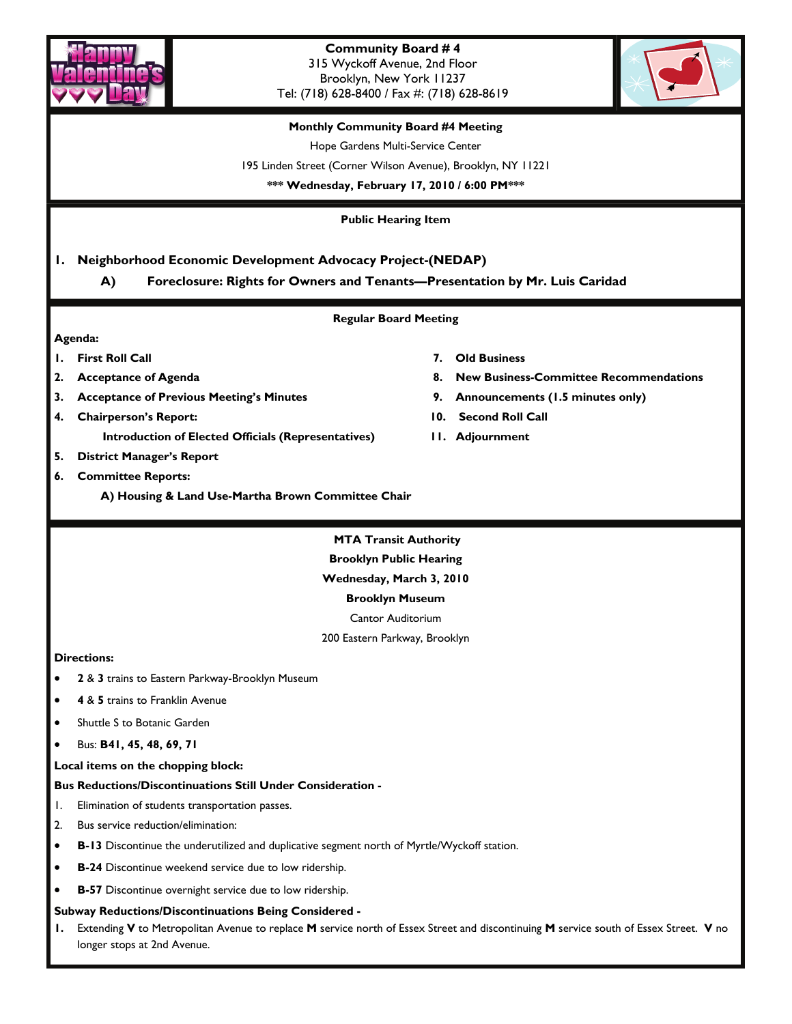

# **Community Board # 4**  315 Wyckoff Avenue, 2nd Floor

Brooklyn, New York 11237 Tel: (718) 628-8400 / Fax #: (718) 628-8619



#### **Monthly Community Board #4 Meeting**

Hope Gardens Multi-Service Center

195 Linden Street (Corner Wilson Avenue), Brooklyn, NY 11221

**\*\*\* Wednesday, February 17, 2010 / 6:00 PM\*\*\*** 

**Public Hearing Item** 

**1. Neighborhood Economic Development Advocacy Project-(NEDAP)** 

 **A) Foreclosure: Rights for Owners and Tenants—Presentation by Mr. Luis Caridad** 

#### **Regular Board Meeting**

#### **Agenda:**

- 
- 
- **3. Acceptance of Previous Meeting's Minutes 9. Announcements (1.5 minutes only)**
- **4. Chairperson's Report: 10. Second Roll Call** 
	- **Introduction of Elected Officials (Representatives) 11. Adjournment**
- **5. District Manager's Report**
- **6. Committee Reports:** 
	- **A) Housing & Land Use-Martha Brown Committee Chair** 
		- **MTA Transit Authority**

**Brooklyn Public Hearing** 

**Wednesday, March 3, 2010** 

#### **Brooklyn Museum**

#### Cantor Auditorium

200 Eastern Parkway, Brooklyn

#### **Directions:**

- **2** & **3** trains to Eastern Parkway-Brooklyn Museum
- **4** & **5** trains to Franklin Avenue
- Shuttle S to Botanic Garden
- Bus: **B41, 45, 48, 69, 71**

#### **Local items on the chopping block:**

#### **Bus Reductions/Discontinuations Still Under Consideration -**

- 1. Elimination of students transportation passes.
- 2. Bus service reduction/elimination:
- **B-13** Discontinue the underutilized and duplicative segment north of Myrtle/Wyckoff station.
- **B-24** Discontinue weekend service due to low ridership.
- **B-57** Discontinue overnight service due to low ridership.

#### **Subway Reductions/Discontinuations Being Considered -**

**1.** Extending **V** to Metropolitan Avenue to replace **M** service north of Essex Street and discontinuing **M** service south of Essex Street. **V** no longer stops at 2nd Avenue.

- **1. First Roll Call 7. Old Business**
- **2. Acceptance of Agenda 8. New Business-Committee Recommendations** 
	-
	-
	-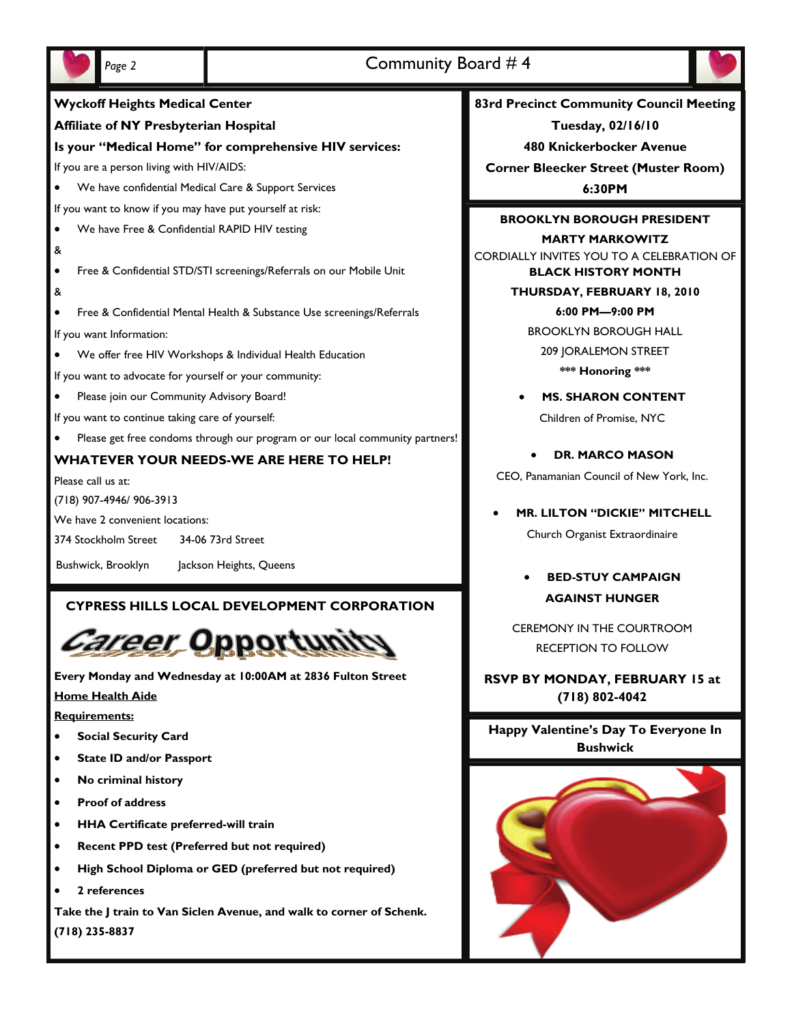

# Page 2 **Community Board # 4**



**Wyckoff Heights Medical Center Affiliate of NY Presbyterian Hospital Is your "Medical Home" for comprehensive HIV services:**  If you are a person living with HIV/AIDS: We have confidential Medical Care & Support Services If you want to know if you may have put yourself at risk: • We have Free & Confidential RAPID HIV testing & • Free & Confidential STD/STI screenings/Referrals on our Mobile Unit & • Free & Confidential Mental Health & Substance Use screenings/Referrals If you want Information: • We offer free HIV Workshops & Individual Health Education If you want to advocate for yourself or your community: Please join our Community Advisory Board! If you want to continue taking care of yourself: Please get free condoms through our program or our local community partners! **WHATEVER YOUR NEEDS-WE ARE HERE TO HELP!**  Please call us at: (718) 907-4946/ 906-3913 We have 2 convenient locations: 374 Stockholm Street 34-06 73rd Street Bushwick, Brooklyn Jackson Heights, Queens Church Organist Extraordinaire

## **CYPRESS HILLS LOCAL DEVELOPMENT CORPORATION**



**Every Monday and Wednesday at 10:00AM at 2836 Fulton Street** 

#### **Home Health Aide**

**Requirements:**

- **Social Security Card**
- **State ID and/or Passport**
- **No criminal history**
- **Proof of address**
- **HHA Certificate preferred-will train**
- **Recent PPD test (Preferred but not required)**
- **High School Diploma or GED (preferred but not required)**
- **2 references**

**Take the J train to Van Siclen Avenue, and walk to corner of Schenk. (718) 235-8837**

**83rd Precinct Community Council Meeting** 

**Tuesday, 02/16/10** 

**480 Knickerbocker Avenue** 

**Corner Bleecker Street (Muster Room)** 

**6:30PM** 

#### **BROOKLYN BOROUGH PRESIDENT**

**MARTY MARKOWITZ** 

CORDIALLY INVITES YOU TO A CELEBRATION OF **BLACK HISTORY MONTH** 

**THURSDAY, FEBRUARY 18, 2010** 

#### **6:00 PM—9:00 PM**

BROOKLYN BOROUGH HALL

209 JORALEMON STREET

**\*\*\* Honoring \*\*\*** 

• **MS. SHARON CONTENT**  Children of Promise, NYC

• **DR. MARCO MASON**

CEO, Panamanian Council of New York, Inc.

• **MR. LILTON "DICKIE" MITCHELL** 

• **BED-STUY CAMPAIGN** 

#### **AGAINST HUNGER**

CEREMONY IN THE COURTROOM RECEPTION TO FOLLOW

**RSVP BY MONDAY, FEBRUARY 15 at (718) 802-4042** 

**Happy Valentine's Day To Everyone In Bushwick** 

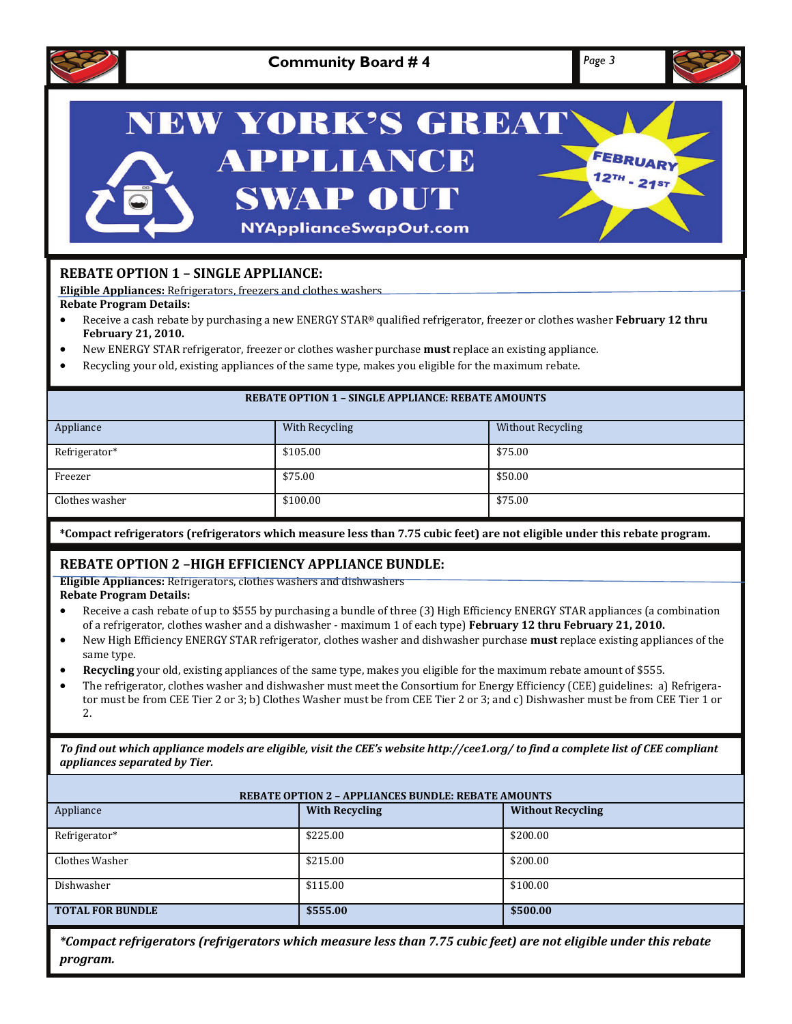

### **REBATE OPTION 1 – SINGLE APPLIANCE:**

**Eligible Appliances:** Refrigerators, freezers and clothes washers

#### **Rebate Program Details:**

- Receive a cash rebate by purchasing a new ENERGY STAR® qualified refrigerator, freezer or clothes washer **February 12 thru February 21, 2010.**
- New ENERGY STAR refrigerator, freezer or clothes washer purchase **must** replace an existing appliance.
- Recycling your old, existing appliances of the same type, makes you eligible for the maximum rebate.

#### **REBATE OPTION 1 – SINGLE APPLIANCE: REBATE AMOUNTS**

| Appliance      | With Recycling | <b>Without Recycling</b> |  |
|----------------|----------------|--------------------------|--|
| Refrigerator*  | \$105.00       | \$75.00                  |  |
| Freezer        | \$75.00        | \$50.00                  |  |
| Clothes washer | \$100.00       | \$75.00                  |  |

\*Compact refrigerators (refrigerators which measure less than 7.75 cubic feet) are not eligible under this rebate program.

#### **REBATE OPTION 2 –HIGH EFFICIENCY APPLIANCE BUNDLE:**

**Eligible Appliances:** Refrigerators, clothes washers and dishwashers **Rebate Program Details:**

- Receive a cash rebate of up to \$555 by purchasing a bundle of three (3) High Efficiency ENERGY STAR appliances (a combination of a refrigerator, clothes washer and a dishwasher ‐ maximum 1 of each type) **February 12 thru February 21, 2010.**
- New High Efficiency ENERGY STAR refrigerator, clothes washer and dishwasher purchase **must** replace existing appliances of the same type.
- **Recycling** your old, existing appliances of the same type, makes you eligible for the maximum rebate amount of \$555.
- The refrigerator, clothes washer and dishwasher must meet the Consortium for Energy Efficiency (CEE) guidelines: a) Refrigera‐ tor must be from CEE Tier 2 or 3; b) Clothes Washer must be from CEE Tier 2 or 3; and c) Dishwasher must be from CEE Tier 1 or 2.

To find out which appliance models are eligible, visit the CEE's website http://cee1.org/ to find a complete list of CEE compliant *appliances separated by Tier.*

| <b>REBATE OPTION 2 - APPLIANCES BUNDLE: REBATE AMOUNTS</b> |                       |                          |  |
|------------------------------------------------------------|-----------------------|--------------------------|--|
| Appliance                                                  | <b>With Recycling</b> | <b>Without Recycling</b> |  |
| Refrigerator*                                              | \$225.00              | \$200.00                 |  |
| Clothes Washer                                             | \$215.00              | \$200.00                 |  |
| Dishwasher                                                 | \$115.00              | \$100.00                 |  |
| <b>TOTAL FOR BUNDLE</b>                                    | \$555.00              | \$500.00                 |  |

\*Compact refrigerators (refrigerators which measure less than 7.75 cubic feet) are not eligible under this rebate *program.*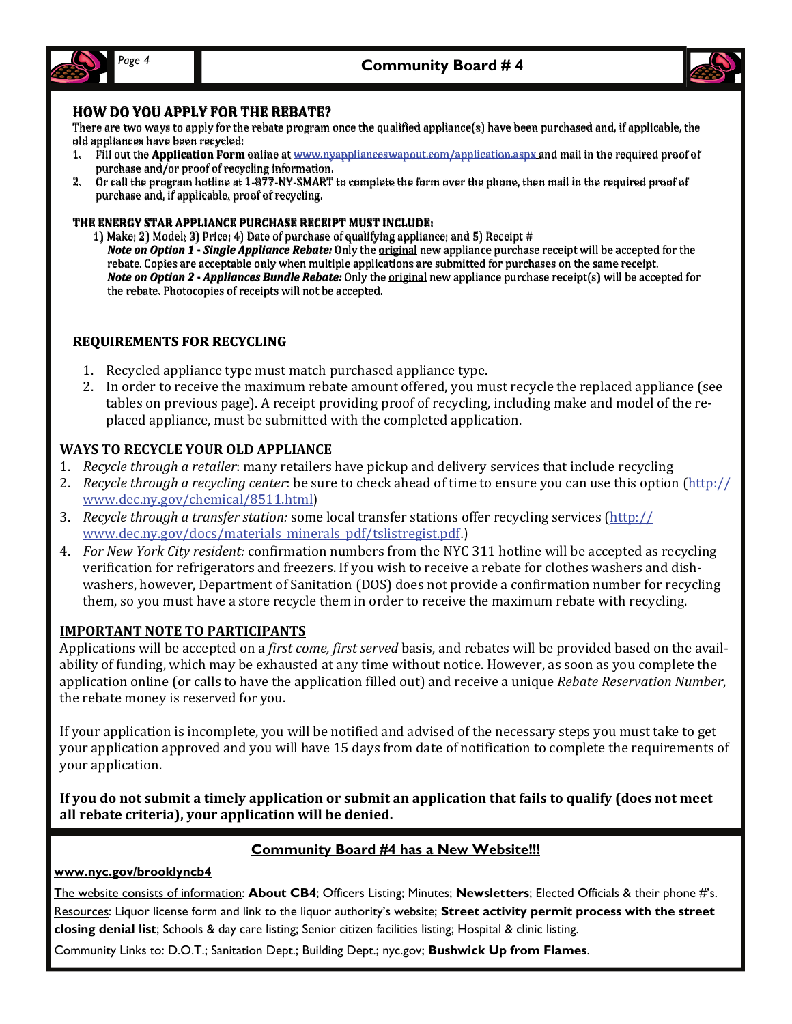



#### **HOW DO YOU APPLY FOR THE REBATE? HOW DO YOU APPLY FOR THE REBATE?**

There are two ways to apply for the rebate program once the qualified appliance(s) have been purchased and, if applicable, the old appliances have been recycled: old appliances have been recycled:

- 1. Fill out the Application Form online at [www.nyapplianceswapout.com/application.aspx](http://www.nyapplianceswapout.com/application.aspx) and mail in the required proof of purchase and/or proof of recycling information. purchase and/or proof of recycling information.
- 2. Or call the program hotline at 1-877-NY-SMART to complete the form over the phone, then mail in the required proof of purchase and, if applicable, proof of recycling. purchase and, if applicable, proof of recycling.

#### THE ENERGY STAR APPLIANCE PURCHASE RECEIPT MUST INCLUDE:

 1) Make; 2) Model; 3) Price; 4) Date of purchase of qualifying appliance; and 5) Receipt # 1) Make; 2) Model; 3) Price; 4) Date of purchase of qualifying appliance; and 5) Receipt # Note on Option 1 - Single Appliance Rebate: Only the original new appliance purchase receipt will be accepted for the rebate. Copies are acceptable only when multiple applications are submitted for purchases on the same receipt. rebate. Copies are acceptable only when multiple applications are submitted for purchases on the same receipt. Note on Option 2 - Appliances Bundle Rebate: Only the <u>original</u> new appliance purchase receipt(s) will be accepted for the rebate. Photocopies of receipts will not be accepted. the rebate. Photocopies of receipts will not be accepted.

### **REQUIREMENTS FOR RECYCLING**

- 1. Recycled appliance type must match purchased appliance type.
- 2. In order to receive the maximum rebate amount offered, you must recycle the replaced appliance (see tables on previous page). A receipt providing proof of recycling, including make and model of the re‐ placed appliance, must be submitted with the completed application.

#### **WAYS TO RECYCLE YOUR OLD APPLIANCE**

- 1. *Recycle through a retailer*: many retailers have pickup and delivery services that include recycling
- 2. *Recycle through a recycling center*: be sure to check ahead of time to ensure you can use this option [\(http://](http://www.dec.ny.gov/chemical/8511.html) [www.dec.ny.gov/chemical/8511.html](http://www.dec.ny.gov/chemical/8511.html))
- 3. *Recycle through a transfer station:* some local transfer stations offer recycling services ([http://](http://www.dec.ny.gov/docs/materials_minerals_pdf/tslistregist.pdf) [www.dec.ny.gov/docs/materials\\_minerals\\_pdf/tslistregist.pdf](http://www.dec.ny.gov/docs/materials_minerals_pdf/tslistregist.pdf).)
- 4. *For New York City resident:* confirmation numbers from the NYC 311 hotline will be accepted as recycling verification for refrigerators and freezers. If you wish to receive a rebate for clothes washers and dish‐ washers, however, Department of Sanitation (DOS) does not provide a confirmation number for recycling them, so you must have a store recycle them in order to receive the maximum rebate with recycling.

#### **IMPORTANT NOTE TO PARTICIPANTS**

Applications will be accepted on a *first come, first served* basis, and rebates will be provided based on the avail‐ ability of funding, which may be exhausted at any time without notice. However, as soon as you complete the application online (or calls to have the application filled out) and receive a unique *Rebate Reservation Number*, the rebate money is reserved for you.

If your application is incomplete, you will be notified and advised of the necessary steps you must take to get your application approved and you will have 15 days from date of notification to complete the requirements of your application.

If you do not submit a timely application or submit an application that fails to qualify (does not meet **all rebate criteria), your application will be denied.**

### **Community Board #4 has a New Website!!!**

#### **www.nyc.gov/brooklyncb4**

The website consists of information: **About CB4**; Officers Listing; Minutes; **Newsletters**; Elected Officials & their phone #'s. Resources: Liquor license form and link to the liquor authority's website; **Street activity permit process with the street closing denial list**; Schools & day care listing; Senior citizen facilities listing; Hospital & clinic listing.

Community Links to: D.O.T.; Sanitation Dept.; Building Dept.; nyc.gov; **Bushwick Up from Flames**.